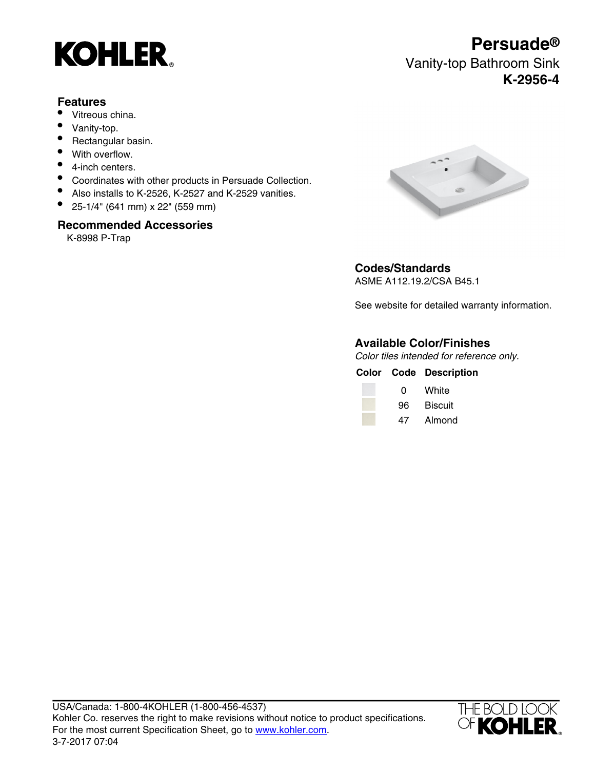

## **Features**

- Vitreous china.
- Vanity-top.
- Rectangular basin.
- With overflow.
- 4-inch centers.
- Coordinates with other products in Persuade Collection.
- Also installs to K-2526, K-2527 and K-2529 vanities.
- 25-1/4" (641 mm) x 22" (559 mm)

### **Recommended Accessories**

K-8998 P-Trap



### **Codes/Standards** ASME A112.19.2/CSA B45.1

See website for detailed warranty information.

# **Available Color/Finishes**

Color tiles intended for reference only.

|     | <b>Color Code Description</b> |
|-----|-------------------------------|
| 0   | White                         |
| 96. | Biscuit                       |
|     | 47 Almond                     |



# **Persuade®** Vanity-top Bathroom Sink

# **K-2956-4**